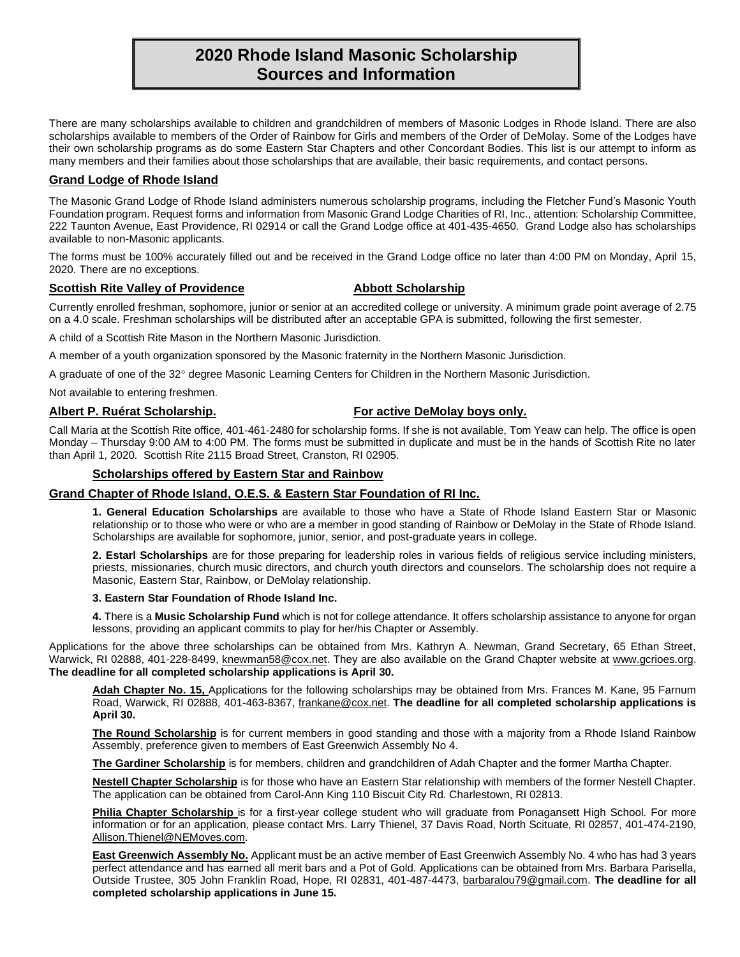# **2020 Rhode Island Masonic Scholarship Sources and Information**

There are many scholarships available to children and grandchildren of members of Masonic Lodges in Rhode Island. There are also scholarships available to members of the Order of Rainbow for Girls and members of the Order of DeMolay. Some of the Lodges have their own scholarship programs as do some Eastern Star Chapters and other Concordant Bodies. This list is our attempt to inform as many members and their families about those scholarships that are available, their basic requirements, and contact persons.

# **Grand Lodge of Rhode Island**

The Masonic Grand Lodge of Rhode Island administers numerous scholarship programs, including the Fletcher Fund's Masonic Youth Foundation program. Request forms and information from Masonic Grand Lodge Charities of RI, Inc., attention: Scholarship Committee, 222 Taunton Avenue, East Providence, RI 02914 or call the Grand Lodge office at 401-435-4650. Grand Lodge also has scholarships available to non-Masonic applicants.

The forms must be 100% accurately filled out and be received in the Grand Lodge office no later than 4:00 PM on Monday, April 15, 2020. There are no exceptions.

### **Scottish Rite Valley of Providence <b>Abbott Scholarship**

Currently enrolled freshman, sophomore, junior or senior at an accredited college or university. A minimum grade point average of 2.75 on a 4.0 scale. Freshman scholarships will be distributed after an acceptable GPA is submitted, following the first semester.

A child of a Scottish Rite Mason in the Northern Masonic Jurisdiction.

A member of a youth organization sponsored by the Masonic fraternity in the Northern Masonic Jurisdiction.

A graduate of one of the 32° degree Masonic Learning Centers for Children in the Northern Masonic Jurisdiction.

Not available to entering freshmen.

# **Albert P. Ruérat Scholarship. For active DeMolay boys only.**

Call Maria at the Scottish Rite office, 401-461-2480 for scholarship forms. If she is not available, Tom Yeaw can help. The office is open Monday – Thursday 9:00 AM to 4:00 PM. The forms must be submitted in duplicate and must be in the hands of Scottish Rite no later than April 1, 2020. Scottish Rite 2115 Broad Street, Cranston, RI 02905.

## **Scholarships offered by Eastern Star and Rainbow**

### **Grand Chapter of Rhode Island, O.E.S. & Eastern Star Foundation of RI Inc.**

**1. General Education Scholarships** are available to those who have a State of Rhode Island Eastern Star or Masonic relationship or to those who were or who are a member in good standing of Rainbow or DeMolay in the State of Rhode Island. Scholarships are available for sophomore, junior, senior, and post-graduate years in college.

**2. Estarl Scholarships** are for those preparing for leadership roles in various fields of religious service including ministers, priests, missionaries, church music directors, and church youth directors and counselors. The scholarship does not require a Masonic, Eastern Star, Rainbow, or DeMolay relationship.

### **3. Eastern Star Foundation of Rhode Island Inc.**

**4.** There is a **Music Scholarship Fund** which is not for college attendance. It offers scholarship assistance to anyone for organ lessons, providing an applicant commits to play for her/his Chapter or Assembly.

Applications for the above three scholarships can be obtained from Mrs. Kathryn A. Newman, Grand Secretary, 65 Ethan Street, Warwick, RI 02888, 401-228-8499, [knewman58@cox.net.](mailto:knewman58@cox.net) They are also available on the Grand Chapter website at [www.gcrioes.org.](http://www.gcrioes.org/) **The deadline for all completed scholarship applications is April 30.**

**Adah Chapter No. 15,** Applications for the following scholarships may be obtained from Mrs. Frances M. Kane, 95 Farnum Road, Warwick, RI 02888, 401-463-8367, [frankane@cox.net.](mailto:frankane@cox.net) **The deadline for all completed scholarship applications is April 30.**

**The Round Scholarship** is for current members in good standing and those with a majority from a Rhode Island Rainbow Assembly, preference given to members of East Greenwich Assembly No 4.

**The Gardiner Scholarship** is for members, children and grandchildren of Adah Chapter and the former Martha Chapter.

**Nestell Chapter Scholarship** is for those who have an Eastern Star relationship with members of the former Nestell Chapter. The application can be obtained from Carol-Ann King 110 Biscuit City Rd. Charlestown, RI 02813.

Philia Chapter Scholarship is for a first-year college student who will graduate from Ponagansett High School. For more information or for an application, please contact Mrs. Larry Thienel, 37 Davis Road, North Scituate, RI 02857, 401-474-2190, [Allison.Thienel@NEMoves.com.](mailto:Allison.Thienel@NEMoves.com)

**East Greenwich Assembly No.** Applicant must be an active member of East Greenwich Assembly No. 4 who has had 3 years perfect attendance and has earned all merit bars and a Pot of Gold. Applications can be obtained from Mrs. Barbara Parisella, Outside Trustee, 305 John Franklin Road, Hope, RI 02831, 401-487-4473, [barbaralou79@gmail.com.](mailto:barbaralou79@gmail.com) **The deadline for all completed scholarship applications in June 15.**